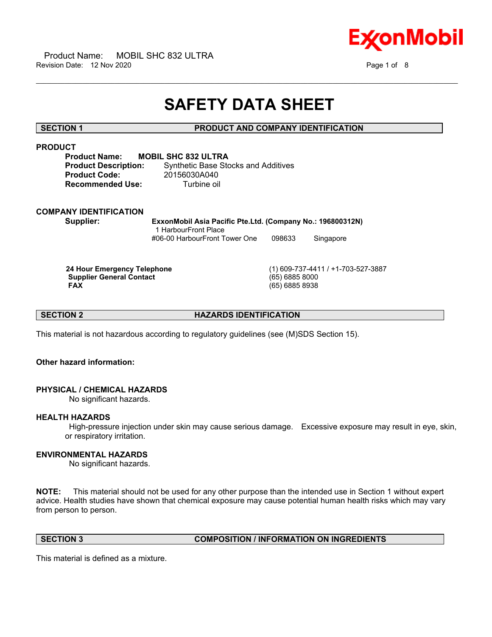



## **SAFETY DATA SHEET**

 $\_$  ,  $\_$  ,  $\_$  ,  $\_$  ,  $\_$  ,  $\_$  ,  $\_$  ,  $\_$  ,  $\_$  ,  $\_$  ,  $\_$  ,  $\_$  ,  $\_$  ,  $\_$  ,  $\_$  ,  $\_$  ,  $\_$  ,  $\_$  ,  $\_$  ,  $\_$  ,  $\_$  ,  $\_$  ,  $\_$  ,  $\_$  ,  $\_$  ,  $\_$  ,  $\_$  ,  $\_$  ,  $\_$  ,  $\_$  ,  $\_$  ,  $\_$  ,  $\_$  ,  $\_$  ,  $\_$  ,  $\_$  ,  $\_$  ,

#### **SECTION 1 PRODUCT AND COMPANY IDENTIFICATION**

#### **PRODUCT**

**Product Name: MOBIL SHC 832 ULTRA Product Code:** 20156030A040 **Recommended Use:** Turbine oil

**Product Description:** Synthetic Base Stocks and Additives

#### **COMPANY IDENTIFICATION**

**Supplier: ExxonMobil Asia Pacific Pte.Ltd. (Company No.: 196800312N)** 1 HarbourFront Place #06-00 HarbourFront Tower One 098633 Singapore

 **Supplier General Contact** (65) 6885 8000

 **24 Hour Emergency Telephone** (1) 609-737-4411 / +1-703-527-3887  **FAX** (65) 6885 8938

**SECTION 2 HAZARDS IDENTIFICATION**

This material is not hazardous according to regulatory guidelines (see (M)SDS Section 15).

#### **Other hazard information:**

### **PHYSICAL / CHEMICAL HAZARDS**

No significant hazards.

#### **HEALTH HAZARDS**

 High-pressure injection under skin may cause serious damage. Excessive exposure may result in eye, skin, or respiratory irritation.

#### **ENVIRONMENTAL HAZARDS**

No significant hazards.

**NOTE:** This material should not be used for any other purpose than the intended use in Section 1 without expert advice. Health studies have shown that chemical exposure may cause potential human health risks which may vary from person to person.

#### **SECTION 3 COMPOSITION / INFORMATION ON INGREDIENTS**

This material is defined as a mixture.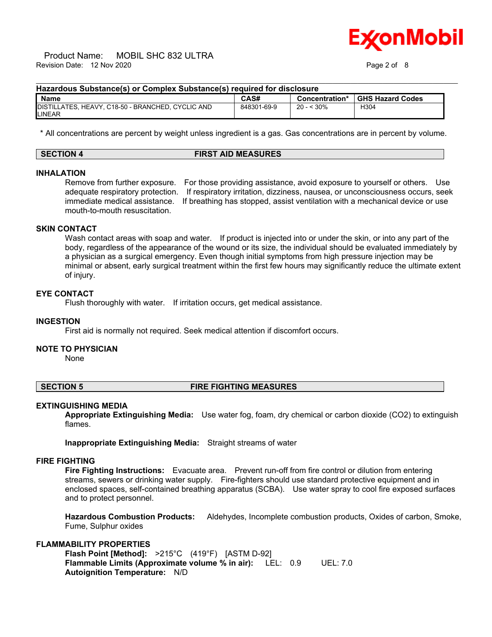# onMobil

#### $\_$  ,  $\_$  ,  $\_$  ,  $\_$  ,  $\_$  ,  $\_$  ,  $\_$  ,  $\_$  ,  $\_$  ,  $\_$  ,  $\_$  ,  $\_$  ,  $\_$  ,  $\_$  ,  $\_$  ,  $\_$  ,  $\_$  ,  $\_$  ,  $\_$  ,  $\_$  ,  $\_$  ,  $\_$  ,  $\_$  ,  $\_$  ,  $\_$  ,  $\_$  ,  $\_$  ,  $\_$  ,  $\_$  ,  $\_$  ,  $\_$  ,  $\_$  ,  $\_$  ,  $\_$  ,  $\_$  ,  $\_$  ,  $\_$  , **Hazardous Substance(s) or Complex Substance(s) required for disclosure**

| Name                                                               | CAS#        | Concentration*     | <b>GHS Hazard Codes</b> |
|--------------------------------------------------------------------|-------------|--------------------|-------------------------|
| DISTILLATES, HEAVY, C18-50 - BRANCHED, CYCLIC AND<br><b>LINEAR</b> | 848301-69-9 | $< 30\%$<br>$20 -$ | H304                    |

\* All concentrations are percent by weight unless ingredient is a gas. Gas concentrations are in percent by volume.

| <b>SECTION 4</b> | <b>FIRST AID MEASURES</b> |
|------------------|---------------------------|

## **INHALATION**

Remove from further exposure. For those providing assistance, avoid exposure to yourself or others. Use adequate respiratory protection. If respiratory irritation, dizziness, nausea, or unconsciousness occurs, seek immediate medical assistance. If breathing has stopped, assist ventilation with a mechanical device or use mouth-to-mouth resuscitation.

### **SKIN CONTACT**

Wash contact areas with soap and water. If product is injected into or under the skin, or into any part of the body, regardless of the appearance of the wound or its size, the individual should be evaluated immediately by a physician as a surgical emergency. Even though initial symptoms from high pressure injection may be minimal or absent, early surgical treatment within the first few hours may significantly reduce the ultimate extent of injury.

#### **EYE CONTACT**

Flush thoroughly with water. If irritation occurs, get medical assistance.

#### **INGESTION**

First aid is normally not required. Seek medical attention if discomfort occurs.

#### **NOTE TO PHYSICIAN**

None

#### **SECTION 5 FIRE FIGHTING MEASURES**

#### **EXTINGUISHING MEDIA**

**Appropriate Extinguishing Media:** Use water fog, foam, dry chemical or carbon dioxide (CO2) to extinguish flames.

**Inappropriate Extinguishing Media:** Straight streams of water

#### **FIRE FIGHTING**

**Fire Fighting Instructions:** Evacuate area. Prevent run-off from fire control or dilution from entering streams, sewers or drinking water supply. Fire-fighters should use standard protective equipment and in enclosed spaces, self-contained breathing apparatus (SCBA). Use water spray to cool fire exposed surfaces and to protect personnel.

**Hazardous Combustion Products:** Aldehydes, Incomplete combustion products, Oxides of carbon, Smoke, Fume, Sulphur oxides

### **FLAMMABILITY PROPERTIES**

**Flash Point [Method]:** >215°C (419°F) [ASTM D-92] **Flammable Limits (Approximate volume % in air):** LEL: 0.9 UEL: 7.0 **Autoignition Temperature:** N/D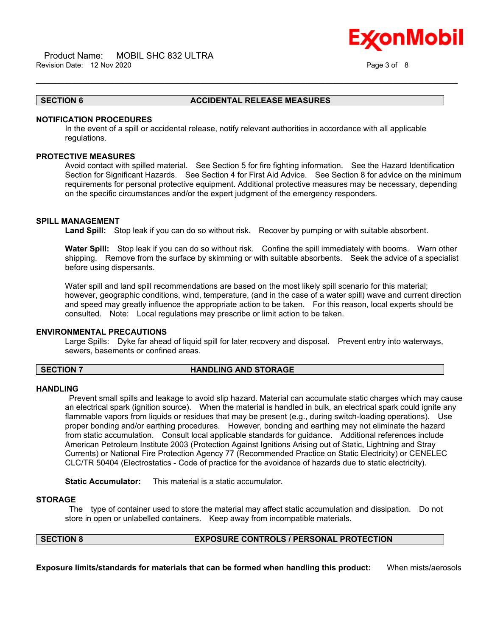## onMobil

#### **SECTION 6 ACCIDENTAL RELEASE MEASURES**

#### **NOTIFICATION PROCEDURES**

In the event of a spill or accidental release, notify relevant authorities in accordance with all applicable regulations.

 $\_$  ,  $\_$  ,  $\_$  ,  $\_$  ,  $\_$  ,  $\_$  ,  $\_$  ,  $\_$  ,  $\_$  ,  $\_$  ,  $\_$  ,  $\_$  ,  $\_$  ,  $\_$  ,  $\_$  ,  $\_$  ,  $\_$  ,  $\_$  ,  $\_$  ,  $\_$  ,  $\_$  ,  $\_$  ,  $\_$  ,  $\_$  ,  $\_$  ,  $\_$  ,  $\_$  ,  $\_$  ,  $\_$  ,  $\_$  ,  $\_$  ,  $\_$  ,  $\_$  ,  $\_$  ,  $\_$  ,  $\_$  ,  $\_$  ,

### **PROTECTIVE MEASURES**

Avoid contact with spilled material. See Section 5 for fire fighting information. See the Hazard Identification Section for Significant Hazards. See Section 4 for First Aid Advice. See Section 8 for advice on the minimum requirements for personal protective equipment. Additional protective measures may be necessary, depending on the specific circumstances and/or the expert judgment of the emergency responders.

#### **SPILL MANAGEMENT**

**Land Spill:** Stop leak if you can do so without risk. Recover by pumping or with suitable absorbent.

**Water Spill:** Stop leak if you can do so without risk. Confine the spill immediately with booms. Warn other shipping. Remove from the surface by skimming or with suitable absorbents. Seek the advice of a specialist before using dispersants.

Water spill and land spill recommendations are based on the most likely spill scenario for this material; however, geographic conditions, wind, temperature, (and in the case of a water spill) wave and current direction and speed may greatly influence the appropriate action to be taken. For this reason, local experts should be consulted. Note: Local regulations may prescribe or limit action to be taken.

#### **ENVIRONMENTAL PRECAUTIONS**

Large Spills: Dyke far ahead of liquid spill for later recovery and disposal. Prevent entry into waterways, sewers, basements or confined areas.

## **SECTION 7 HANDLING AND STORAGE**

#### **HANDLING**

 Prevent small spills and leakage to avoid slip hazard. Material can accumulate static charges which may cause an electrical spark (ignition source). When the material is handled in bulk, an electrical spark could ignite any flammable vapors from liquids or residues that may be present (e.g., during switch-loading operations). Use proper bonding and/or earthing procedures. However, bonding and earthing may not eliminate the hazard from static accumulation. Consult local applicable standards for guidance. Additional references include American Petroleum Institute 2003 (Protection Against Ignitions Arising out of Static, Lightning and Stray Currents) or National Fire Protection Agency 77 (Recommended Practice on Static Electricity) or CENELEC CLC/TR 50404 (Electrostatics - Code of practice for the avoidance of hazards due to static electricity).

**Static Accumulator:** This material is a static accumulator.

#### **STORAGE**

 The type of container used to store the material may affect static accumulation and dissipation. Do not store in open or unlabelled containers. Keep away from incompatible materials.

## **SECTION 8 EXPOSURE CONTROLS / PERSONAL PROTECTION**

**Exposure limits/standards for materials that can be formed when handling this product:** When mists/aerosols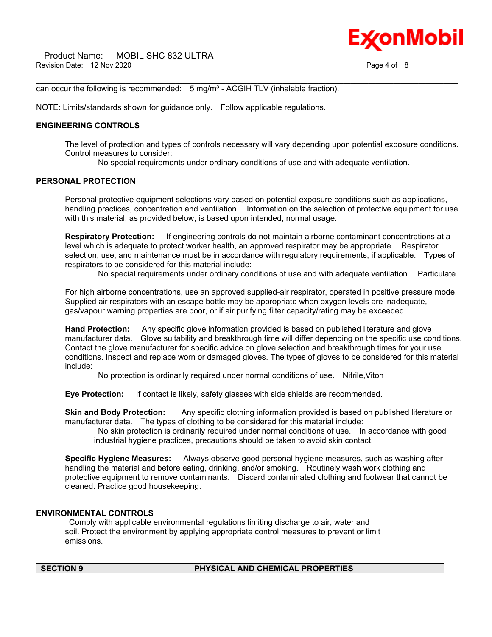can occur the following is recommended:  $5$  mg/m<sup>3</sup> - ACGIH TLV (inhalable fraction).

NOTE: Limits/standards shown for guidance only. Follow applicable regulations.

#### **ENGINEERING CONTROLS**

The level of protection and types of controls necessary will vary depending upon potential exposure conditions. Control measures to consider:

No special requirements under ordinary conditions of use and with adequate ventilation.

 $\_$  ,  $\_$  ,  $\_$  ,  $\_$  ,  $\_$  ,  $\_$  ,  $\_$  ,  $\_$  ,  $\_$  ,  $\_$  ,  $\_$  ,  $\_$  ,  $\_$  ,  $\_$  ,  $\_$  ,  $\_$  ,  $\_$  ,  $\_$  ,  $\_$  ,  $\_$  ,  $\_$  ,  $\_$  ,  $\_$  ,  $\_$  ,  $\_$  ,  $\_$  ,  $\_$  ,  $\_$  ,  $\_$  ,  $\_$  ,  $\_$  ,  $\_$  ,  $\_$  ,  $\_$  ,  $\_$  ,  $\_$  ,  $\_$  ,

### **PERSONAL PROTECTION**

Personal protective equipment selections vary based on potential exposure conditions such as applications, handling practices, concentration and ventilation. Information on the selection of protective equipment for use with this material, as provided below, is based upon intended, normal usage.

**Respiratory Protection:** If engineering controls do not maintain airborne contaminant concentrations at a level which is adequate to protect worker health, an approved respirator may be appropriate. Respirator selection, use, and maintenance must be in accordance with regulatory requirements, if applicable. Types of respirators to be considered for this material include:

No special requirements under ordinary conditions of use and with adequate ventilation. Particulate

For high airborne concentrations, use an approved supplied-air respirator, operated in positive pressure mode. Supplied air respirators with an escape bottle may be appropriate when oxygen levels are inadequate, gas/vapour warning properties are poor, or if air purifying filter capacity/rating may be exceeded.

**Hand Protection:** Any specific glove information provided is based on published literature and glove manufacturer data. Glove suitability and breakthrough time will differ depending on the specific use conditions. Contact the glove manufacturer for specific advice on glove selection and breakthrough times for your use conditions. Inspect and replace worn or damaged gloves. The types of gloves to be considered for this material include:

No protection is ordinarily required under normal conditions of use. Nitrile,Viton

**Eye Protection:** If contact is likely, safety glasses with side shields are recommended.

**Skin and Body Protection:** Any specific clothing information provided is based on published literature or manufacturer data. The types of clothing to be considered for this material include:

 No skin protection is ordinarily required under normal conditions of use. In accordance with good industrial hygiene practices, precautions should be taken to avoid skin contact.

**Specific Hygiene Measures:** Always observe good personal hygiene measures, such as washing after handling the material and before eating, drinking, and/or smoking. Routinely wash work clothing and protective equipment to remove contaminants. Discard contaminated clothing and footwear that cannot be cleaned. Practice good housekeeping.

### **ENVIRONMENTAL CONTROLS**

 Comply with applicable environmental regulations limiting discharge to air, water and soil. Protect the environment by applying appropriate control measures to prevent or limit emissions.

#### **SECTION 9 PHYSICAL AND CHEMICAL PROPERTIES**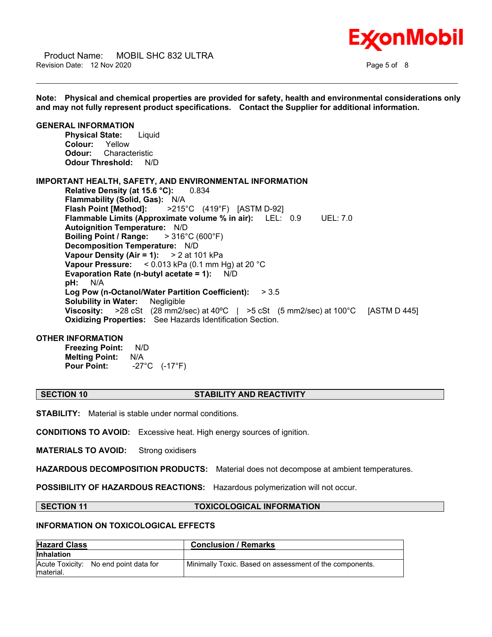Product Name: MOBIL SHC 832 ULTRA Revision Date: 12 Nov 2020 **Page 5 of 8** and 2000 **Page 5 of 8** and 2011 **Page 5 of 8** 



**Note: Physical and chemical properties are provided for safety, health and environmental considerations only and may not fully represent product specifications. Contact the Supplier for additional information. GENERAL INFORMATION Physical State:** Liquid **Colour:** Yellow **Odour:** Characteristic **Odour Threshold:** N/D **IMPORTANT HEALTH, SAFETY, AND ENVIRONMENTAL INFORMATION Relative Density (at 15.6 °C):** 0.834 **Flammability (Solid, Gas):** N/A **Flash Point [Method]:** >215°C (419°F) [ASTM D-92] **Flammable Limits (Approximate volume % in air):** LEL: 0.9 UEL: 7.0 **Autoignition Temperature:** N/D **Boiling Point / Range:** > 316°C (600°F) **Decomposition Temperature:** N/D **Vapour Density (Air = 1):** > 2 at 101 kPa **Vapour Pressure:** < 0.013 kPa (0.1 mm Hg) at 20 °C **Evaporation Rate (n-butyl acetate = 1):** N/D **pH:** N/A **Log Pow (n-Octanol/Water Partition Coefficient):** > 3.5 **Solubility in Water:** Negligible **Viscosity:** >28 cSt (28 mm2/sec) at 40ºC | >5 cSt (5 mm2/sec) at 100°C [ASTM D 445] **Oxidizing Properties:** See Hazards Identification Section. **OTHER INFORMATION Freezing Point:** N/D **Melting Point:** N/A **Pour Point:** -27°C (-17°F)

 $\_$  ,  $\_$  ,  $\_$  ,  $\_$  ,  $\_$  ,  $\_$  ,  $\_$  ,  $\_$  ,  $\_$  ,  $\_$  ,  $\_$  ,  $\_$  ,  $\_$  ,  $\_$  ,  $\_$  ,  $\_$  ,  $\_$  ,  $\_$  ,  $\_$  ,  $\_$  ,  $\_$  ,  $\_$  ,  $\_$  ,  $\_$  ,  $\_$  ,  $\_$  ,  $\_$  ,  $\_$  ,  $\_$  ,  $\_$  ,  $\_$  ,  $\_$  ,  $\_$  ,  $\_$  ,  $\_$  ,  $\_$  ,  $\_$  ,

### **SECTION 10 STABILITY AND REACTIVITY**

**STABILITY:** Material is stable under normal conditions.

**CONDITIONS TO AVOID:** Excessive heat. High energy sources of ignition.

**MATERIALS TO AVOID:** Strong oxidisers

**HAZARDOUS DECOMPOSITION PRODUCTS:** Material does not decompose at ambient temperatures.

**POSSIBILITY OF HAZARDOUS REACTIONS:** Hazardous polymerization will not occur.

#### **SECTION 11 TOXICOLOGICAL INFORMATION**

#### **INFORMATION ON TOXICOLOGICAL EFFECTS**

| <b>Hazard Class</b>                                | <b>Conclusion / Remarks</b>                             |
|----------------------------------------------------|---------------------------------------------------------|
| <b>Inhalation</b>                                  |                                                         |
| Acute Toxicity: No end point data for<br>material. | Minimally Toxic. Based on assessment of the components. |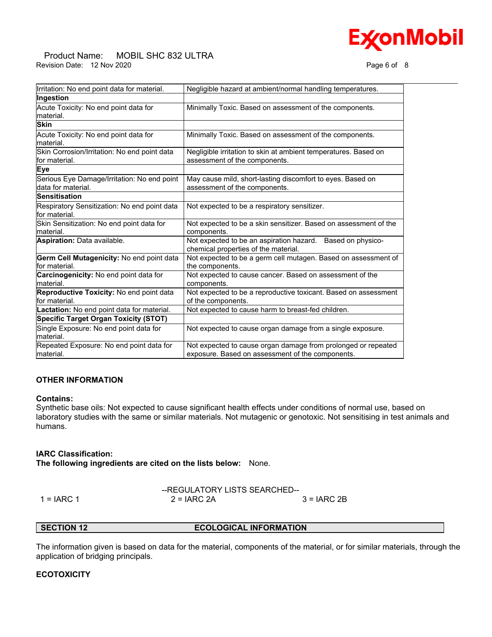## **ExconMobil**

#### Product Name: MOBIL SHC 832 ULTRA Revision Date: 12 Nov 2020 **Page 6 of 8** Nov 2020

| Irritation: No end point data for material.                        | Negligible hazard at ambient/normal handling temperatures.                                                        |
|--------------------------------------------------------------------|-------------------------------------------------------------------------------------------------------------------|
| Ingestion                                                          |                                                                                                                   |
| Acute Toxicity: No end point data for<br>material.                 | Minimally Toxic. Based on assessment of the components.                                                           |
| <b>Skin</b>                                                        |                                                                                                                   |
| Acute Toxicity: No end point data for<br>lmaterial.                | Minimally Toxic. Based on assessment of the components.                                                           |
| Skin Corrosion/Irritation: No end point data<br>lfor material.     | Negligible irritation to skin at ambient temperatures. Based on<br>assessment of the components.                  |
| Eye                                                                |                                                                                                                   |
| Serious Eye Damage/Irritation: No end point<br>ldata for material. | May cause mild, short-lasting discomfort to eyes. Based on<br>assessment of the components.                       |
| Sensitisation                                                      |                                                                                                                   |
| Respiratory Sensitization: No end point data<br>for material.      | Not expected to be a respiratory sensitizer.                                                                      |
| Skin Sensitization: No end point data for<br>lmaterial.            | Not expected to be a skin sensitizer. Based on assessment of the<br>components.                                   |
| Aspiration: Data available.                                        | Not expected to be an aspiration hazard. Based on physico-<br>chemical properties of the material.                |
| Germ Cell Mutagenicity: No end point data<br>lfor material.        | Not expected to be a germ cell mutagen. Based on assessment of<br>the components.                                 |
| Carcinogenicity: No end point data for<br>Imaterial.               | Not expected to cause cancer. Based on assessment of the<br>components.                                           |
| Reproductive Toxicity: No end point data<br>for material.          | Not expected to be a reproductive toxicant. Based on assessment<br>of the components.                             |
| Lactation: No end point data for material.                         | Not expected to cause harm to breast-fed children.                                                                |
| Specific Target Organ Toxicity (STOT)                              |                                                                                                                   |
| Single Exposure: No end point data for<br>lmaterial.               | Not expected to cause organ damage from a single exposure.                                                        |
| Repeated Exposure: No end point data for<br>material.              | Not expected to cause organ damage from prolonged or repeated<br>exposure. Based on assessment of the components. |

#### **OTHER INFORMATION**

#### **Contains:**

Synthetic base oils: Not expected to cause significant health effects under conditions of normal use, based on laboratory studies with the same or similar materials. Not mutagenic or genotoxic. Not sensitising in test animals and humans.

#### **IARC Classification:**

**The following ingredients are cited on the lists below:** None.

--REGULATORY LISTS SEARCHED-- 1 = IARC 1 2 = IARC 2A 3 = IARC 2B

#### **SECTION 12 ECOLOGICAL INFORMATION**

The information given is based on data for the material, components of the material, or for similar materials, through the application of bridging principals.

#### **ECOTOXICITY**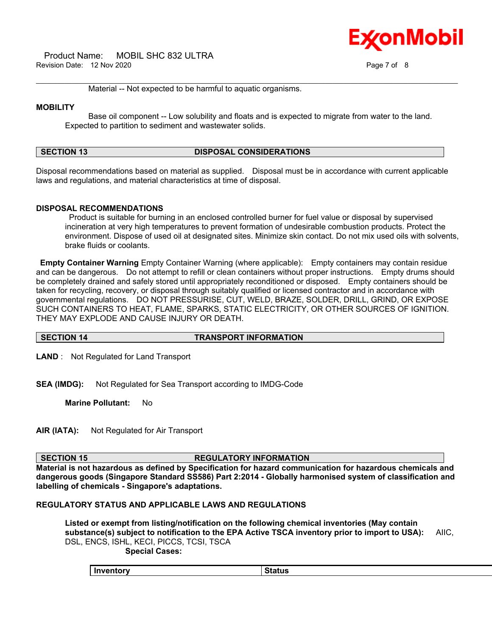Product Name: MOBIL SHC 832 ULTRA Revision Date: 12 Nov 2020 **Page 7 of 8** 



 $\_$  ,  $\_$  ,  $\_$  ,  $\_$  ,  $\_$  ,  $\_$  ,  $\_$  ,  $\_$  ,  $\_$  ,  $\_$  ,  $\_$  ,  $\_$  ,  $\_$  ,  $\_$  ,  $\_$  ,  $\_$  ,  $\_$  ,  $\_$  ,  $\_$  ,  $\_$  ,  $\_$  ,  $\_$  ,  $\_$  ,  $\_$  ,  $\_$  ,  $\_$  ,  $\_$  ,  $\_$  ,  $\_$  ,  $\_$  ,  $\_$  ,  $\_$  ,  $\_$  ,  $\_$  ,  $\_$  ,  $\_$  ,  $\_$  , Material -- Not expected to be harmful to aquatic organisms.

## **MOBILITY**

 Base oil component -- Low solubility and floats and is expected to migrate from water to the land. Expected to partition to sediment and wastewater solids.

## **SECTION 13 DISPOSAL CONSIDERATIONS**

Disposal recommendations based on material as supplied. Disposal must be in accordance with current applicable laws and regulations, and material characteristics at time of disposal.

## **DISPOSAL RECOMMENDATIONS**

 Product is suitable for burning in an enclosed controlled burner for fuel value or disposal by supervised incineration at very high temperatures to prevent formation of undesirable combustion products. Protect the environment. Dispose of used oil at designated sites. Minimize skin contact. Do not mix used oils with solvents, brake fluids or coolants.

**Empty Container Warning** Empty Container Warning (where applicable): Empty containers may contain residue and can be dangerous. Do not attempt to refill or clean containers without proper instructions. Empty drums should be completely drained and safely stored until appropriately reconditioned or disposed. Empty containers should be taken for recycling, recovery, or disposal through suitably qualified or licensed contractor and in accordance with governmental regulations. DO NOT PRESSURISE, CUT, WELD, BRAZE, SOLDER, DRILL, GRIND, OR EXPOSE SUCH CONTAINERS TO HEAT, FLAME, SPARKS, STATIC ELECTRICITY, OR OTHER SOURCES OF IGNITION. THEY MAY EXPLODE AND CAUSE INJURY OR DEATH.

#### **SECTION 14 TRANSPORT INFORMATION**

**LAND** : Not Regulated for Land Transport

**SEA (IMDG):** Not Regulated for Sea Transport according to IMDG-Code

**Marine Pollutant:** No

**AIR (IATA):** Not Regulated for Air Transport

#### **SECTION 15 REGULATORY INFORMATION**

**Material is not hazardous as defined by Specification for hazard communication for hazardous chemicals and dangerous goods (Singapore Standard SS586) Part 2:2014 - Globally harmonised system of classification and labelling of chemicals - Singapore's adaptations.**

#### **REGULATORY STATUS AND APPLICABLE LAWS AND REGULATIONS**

**Listed or exempt from listing/notification on the following chemical inventories (May contain substance(s) subject to notification to the EPA Active TSCA inventory prior to import to USA):** AIIC, DSL, ENCS, ISHL, KECI, PICCS, TCSI, TSCA  **Special Cases:**